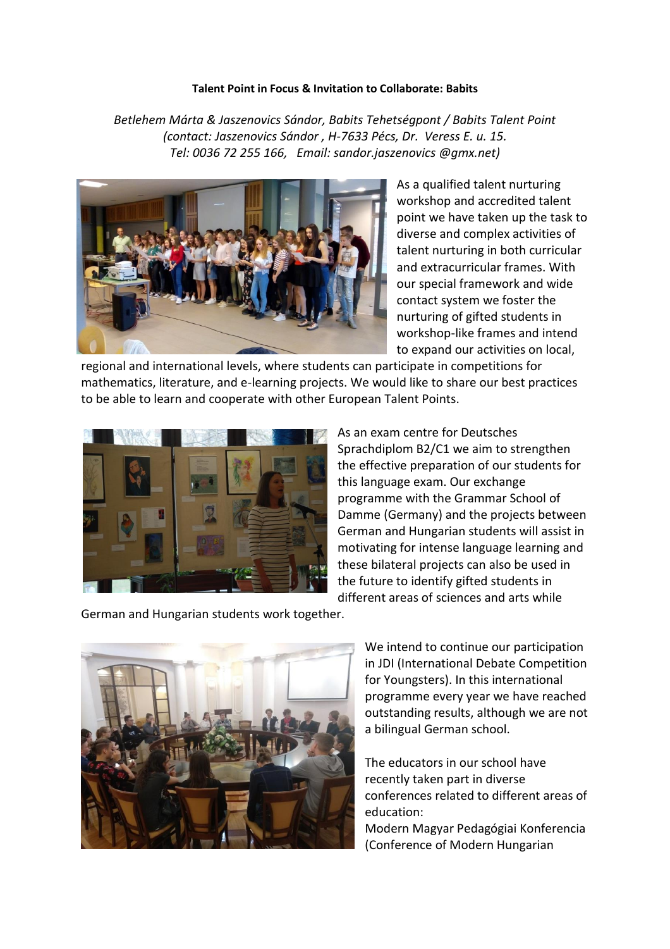## **Talent Point in Focus & Invitation to Collaborate: Babits**

*Betlehem Márta & Jaszenovics Sándor, Babits Tehetségpont / Babits Talent Point (contact: Jaszenovics Sándor , H-7633 Pécs, Dr. Veress E. u. 15. Tel: 0036 72 255 166, Email: sandor.jaszenovics @gmx.net)*



As a qualified talent nurturing workshop and accredited talent point we have taken up the task to diverse and complex activities of talent nurturing in both curricular and extracurricular frames. With our special framework and wide contact system we foster the nurturing of gifted students in workshop-like frames and intend to expand our activities on local,

regional and international levels, where students can participate in competitions for mathematics, literature, and e-learning projects. We would like to share our best practices to be able to learn and cooperate with other European Talent Points.



As an exam centre for Deutsches Sprachdiplom B2/C1 we aim to strengthen the effective preparation of our students for this language exam. Our exchange programme with the Grammar School of Damme (Germany) and the projects between German and Hungarian students will assist in motivating for intense language learning and these bilateral projects can also be used in the future to identify gifted students in different areas of sciences and arts while

German and Hungarian students work together.



We intend to continue our participation in JDI (International Debate Competition for Youngsters). In this international programme every year we have reached outstanding results, although we are not a bilingual German school.

The educators in our school have recently taken part in diverse conferences related to different areas of education:

Modern Magyar Pedagógiai Konferencia (Conference of Modern Hungarian